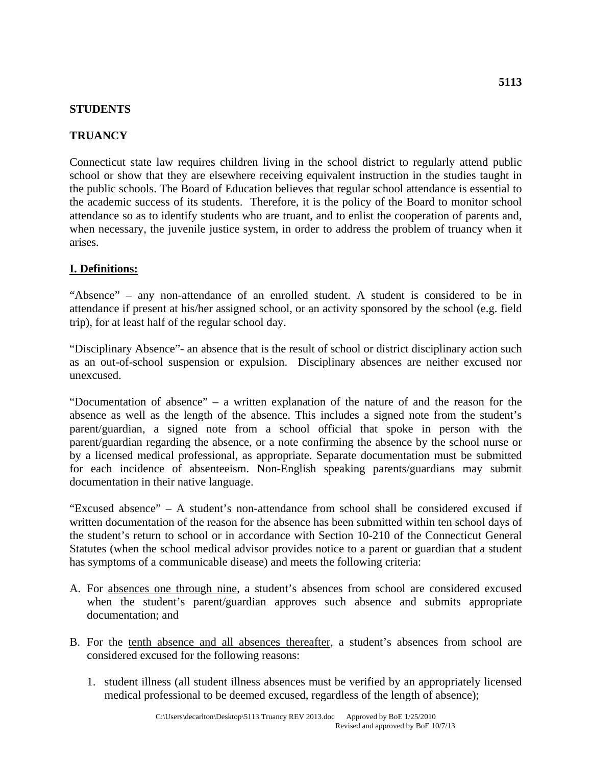#### **STUDENTS**

## **TRUANCY**

Connecticut state law requires children living in the school district to regularly attend public school or show that they are elsewhere receiving equivalent instruction in the studies taught in the public schools. The Board of Education believes that regular school attendance is essential to the academic success of its students. Therefore, it is the policy of the Board to monitor school attendance so as to identify students who are truant, and to enlist the cooperation of parents and, when necessary, the juvenile justice system, in order to address the problem of truancy when it arises.

## **I. Definitions:**

"Absence" – any non-attendance of an enrolled student. A student is considered to be in attendance if present at his/her assigned school, or an activity sponsored by the school (e.g. field trip), for at least half of the regular school day.

"Disciplinary Absence"- an absence that is the result of school or district disciplinary action such as an out-of-school suspension or expulsion. Disciplinary absences are neither excused nor unexcused.

"Documentation of absence" – a written explanation of the nature of and the reason for the absence as well as the length of the absence. This includes a signed note from the student's parent/guardian, a signed note from a school official that spoke in person with the parent/guardian regarding the absence, or a note confirming the absence by the school nurse or by a licensed medical professional, as appropriate. Separate documentation must be submitted for each incidence of absenteeism. Non-English speaking parents/guardians may submit documentation in their native language.

"Excused absence" – A student's non-attendance from school shall be considered excused if written documentation of the reason for the absence has been submitted within ten school days of the student's return to school or in accordance with Section 10-210 of the Connecticut General Statutes (when the school medical advisor provides notice to a parent or guardian that a student has symptoms of a communicable disease) and meets the following criteria:

- A. For absences one through nine, a student's absences from school are considered excused when the student's parent/guardian approves such absence and submits appropriate documentation; and
- B. For the tenth absence and all absences thereafter, a student's absences from school are considered excused for the following reasons:
	- 1. student illness (all student illness absences must be verified by an appropriately licensed medical professional to be deemed excused, regardless of the length of absence);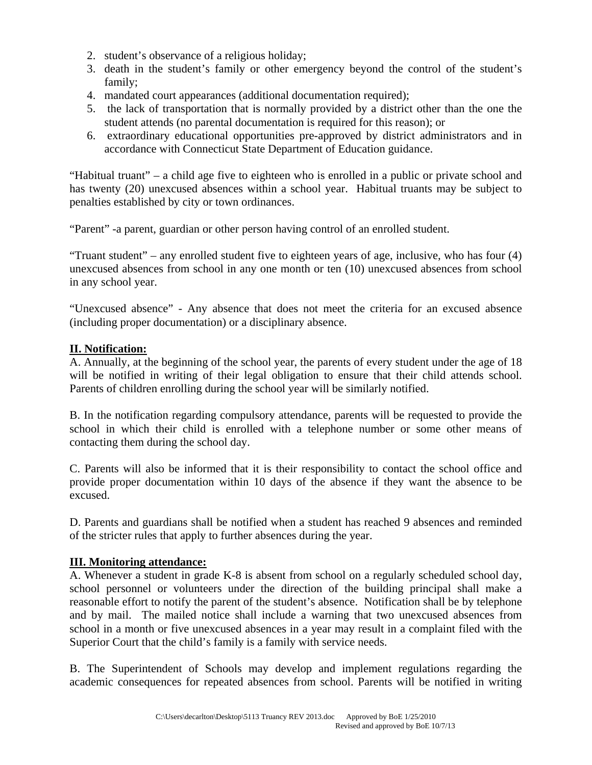- 2. student's observance of a religious holiday;
- 3. death in the student's family or other emergency beyond the control of the student's family;
- 4. mandated court appearances (additional documentation required);
- 5. the lack of transportation that is normally provided by a district other than the one the student attends (no parental documentation is required for this reason); or
- 6. extraordinary educational opportunities pre-approved by district administrators and in accordance with Connecticut State Department of Education guidance.

"Habitual truant" – a child age five to eighteen who is enrolled in a public or private school and has twenty (20) unexcused absences within a school year. Habitual truants may be subject to penalties established by city or town ordinances.

"Parent" -a parent, guardian or other person having control of an enrolled student.

"Truant student" – any enrolled student five to eighteen years of age, inclusive, who has four (4) unexcused absences from school in any one month or ten (10) unexcused absences from school in any school year.

"Unexcused absence" - Any absence that does not meet the criteria for an excused absence (including proper documentation) or a disciplinary absence.

#### **II. Notification:**

A. Annually, at the beginning of the school year, the parents of every student under the age of 18 will be notified in writing of their legal obligation to ensure that their child attends school. Parents of children enrolling during the school year will be similarly notified.

B. In the notification regarding compulsory attendance, parents will be requested to provide the school in which their child is enrolled with a telephone number or some other means of contacting them during the school day.

C. Parents will also be informed that it is their responsibility to contact the school office and provide proper documentation within 10 days of the absence if they want the absence to be excused.

D. Parents and guardians shall be notified when a student has reached 9 absences and reminded of the stricter rules that apply to further absences during the year.

#### **III. Monitoring attendance:**

A. Whenever a student in grade K-8 is absent from school on a regularly scheduled school day, school personnel or volunteers under the direction of the building principal shall make a reasonable effort to notify the parent of the student's absence. Notification shall be by telephone and by mail. The mailed notice shall include a warning that two unexcused absences from school in a month or five unexcused absences in a year may result in a complaint filed with the Superior Court that the child's family is a family with service needs.

B. The Superintendent of Schools may develop and implement regulations regarding the academic consequences for repeated absences from school. Parents will be notified in writing